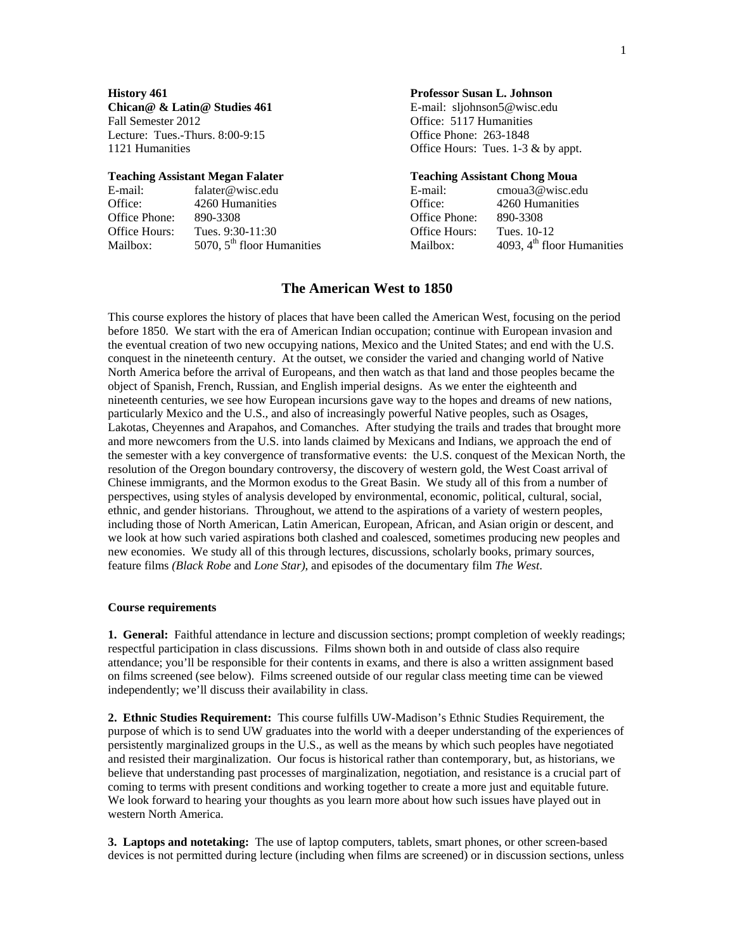**Chican@ & Latin@ Studies 461** E-mail: sljohnson5@wisc.edu Fall Semester 2012 **Fall Semester 2012 Office: 5117 Humanities** Lecture: Tues.-Thurs. 8:00-9:15 Office Phone: 263-1848

| E-mail:       | falater@wisc.edu             | E-mail:              | cmoua3@wisc.edu              |
|---------------|------------------------------|----------------------|------------------------------|
| Office:       | 4260 Humanities              | Office:              | 4260 Humanities              |
| Office Phone: | 890-3308                     | Office Phone:        | -890-3308                    |
| Office Hours: | Tues. $9:30-11:30$           | <b>Office Hours:</b> | Tues. 10-12                  |
| Mailbox:      | 5070, $5th$ floor Humanities | Mailbox:             | 4093, $4th$ floor Humanities |

### **History 461 Professor Susan L. Johnson**

1121 Humanities **Office Hours:** Tues. 1-3 & by appt.

#### **Teaching Assistant Megan Falater Teaching Assistant Chong Moua**

| E-mail:              | cmoua3@wisc.edu              |
|----------------------|------------------------------|
| )ffice:              | 4260 Humanities              |
| Office Phone:        | 890-3308                     |
| <b>Office Hours:</b> | Tues. 10-12                  |
| Mailbox:             | 4093, $4th$ floor Humanities |
|                      |                              |

### **The American West to 1850**

This course explores the history of places that have been called the American West, focusing on the period before 1850. We start with the era of American Indian occupation; continue with European invasion and the eventual creation of two new occupying nations, Mexico and the United States; and end with the U.S. conquest in the nineteenth century. At the outset, we consider the varied and changing world of Native North America before the arrival of Europeans, and then watch as that land and those peoples became the object of Spanish, French, Russian, and English imperial designs. As we enter the eighteenth and nineteenth centuries, we see how European incursions gave way to the hopes and dreams of new nations, particularly Mexico and the U.S., and also of increasingly powerful Native peoples, such as Osages, Lakotas, Cheyennes and Arapahos, and Comanches. After studying the trails and trades that brought more and more newcomers from the U.S. into lands claimed by Mexicans and Indians, we approach the end of the semester with a key convergence of transformative events: the U.S. conquest of the Mexican North, the resolution of the Oregon boundary controversy, the discovery of western gold, the West Coast arrival of Chinese immigrants, and the Mormon exodus to the Great Basin. We study all of this from a number of perspectives, using styles of analysis developed by environmental, economic, political, cultural, social, ethnic, and gender historians. Throughout, we attend to the aspirations of a variety of western peoples, including those of North American, Latin American, European, African, and Asian origin or descent, and we look at how such varied aspirations both clashed and coalesced, sometimes producing new peoples and new economies. We study all of this through lectures, discussions, scholarly books, primary sources, feature films *(Black Robe* and *Lone Star)*, and episodes of the documentary film *The West*.

#### **Course requirements**

**1. General:** Faithful attendance in lecture and discussion sections; prompt completion of weekly readings; respectful participation in class discussions. Films shown both in and outside of class also require attendance; you'll be responsible for their contents in exams, and there is also a written assignment based on films screened (see below). Films screened outside of our regular class meeting time can be viewed independently; we'll discuss their availability in class.

**2. Ethnic Studies Requirement:** This course fulfills UW-Madison's Ethnic Studies Requirement, the purpose of which is to send UW graduates into the world with a deeper understanding of the experiences of persistently marginalized groups in the U.S., as well as the means by which such peoples have negotiated and resisted their marginalization. Our focus is historical rather than contemporary, but, as historians, we believe that understanding past processes of marginalization, negotiation, and resistance is a crucial part of coming to terms with present conditions and working together to create a more just and equitable future. We look forward to hearing your thoughts as you learn more about how such issues have played out in western North America.

**3. Laptops and notetaking:** The use of laptop computers, tablets, smart phones, or other screen-based devices is not permitted during lecture (including when films are screened) or in discussion sections, unless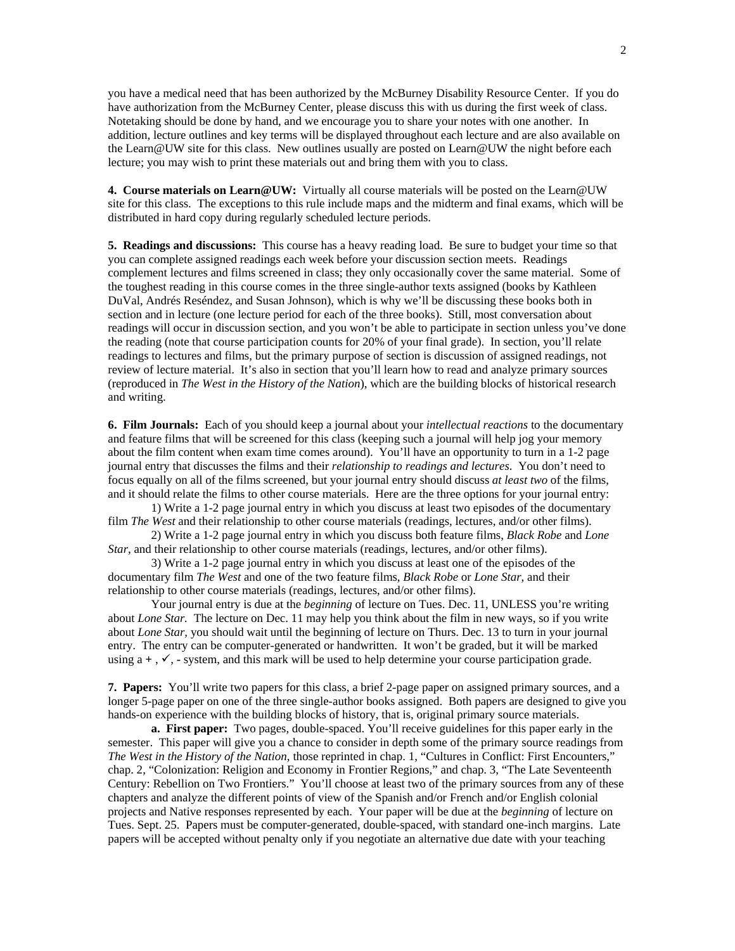you have a medical need that has been authorized by the McBurney Disability Resource Center. If you do have authorization from the McBurney Center, please discuss this with us during the first week of class. Notetaking should be done by hand, and we encourage you to share your notes with one another. In addition, lecture outlines and key terms will be displayed throughout each lecture and are also available on the Learn@UW site for this class. New outlines usually are posted on Learn@UW the night before each lecture; you may wish to print these materials out and bring them with you to class.

**4. Course materials on Learn@UW:** Virtually all course materials will be posted on the Learn@UW site for this class. The exceptions to this rule include maps and the midterm and final exams, which will be distributed in hard copy during regularly scheduled lecture periods.

**5. Readings and discussions:** This course has a heavy reading load. Be sure to budget your time so that you can complete assigned readings each week before your discussion section meets. Readings complement lectures and films screened in class; they only occasionally cover the same material. Some of the toughest reading in this course comes in the three single-author texts assigned (books by Kathleen DuVal, Andrés Reséndez, and Susan Johnson), which is why we'll be discussing these books both in section and in lecture (one lecture period for each of the three books). Still, most conversation about readings will occur in discussion section, and you won't be able to participate in section unless you've done the reading (note that course participation counts for 20% of your final grade). In section, you'll relate readings to lectures and films, but the primary purpose of section is discussion of assigned readings, not review of lecture material. It's also in section that you'll learn how to read and analyze primary sources (reproduced in *The West in the History of the Nation*), which are the building blocks of historical research and writing.

**6. Film Journals:** Each of you should keep a journal about your *intellectual reactions* to the documentary and feature films that will be screened for this class (keeping such a journal will help jog your memory about the film content when exam time comes around). You'll have an opportunity to turn in a 1-2 page journal entry that discusses the films and their *relationship to readings and lectures*. You don't need to focus equally on all of the films screened, but your journal entry should discuss *at least two* of the films, and it should relate the films to other course materials. Here are the three options for your journal entry:

1) Write a 1-2 page journal entry in which you discuss at least two episodes of the documentary film *The West* and their relationship to other course materials (readings, lectures, and/or other films).

2) Write a 1-2 page journal entry in which you discuss both feature films, *Black Robe* and *Lone Star*, and their relationship to other course materials (readings, lectures, and/or other films).

3) Write a 1-2 page journal entry in which you discuss at least one of the episodes of the documentary film *The West* and one of the two feature films, *Black Robe* or *Lone Star,* and their relationship to other course materials (readings, lectures, and/or other films).

Your journal entry is due at the *beginning* of lecture on Tues. Dec. 11, UNLESS you're writing about *Lone Star.* The lecture on Dec. 11 may help you think about the film in new ways, so if you write about *Lone Star,* you should wait until the beginning of lecture on Thurs. Dec. 13 to turn in your journal entry. The entry can be computer-generated or handwritten. It won't be graded, but it will be marked using  $a +$ ,  $\checkmark$ , - system, and this mark will be used to help determine your course participation grade.

**7. Papers:** You'll write two papers for this class, a brief 2-page paper on assigned primary sources, and a longer 5-page paper on one of the three single-author books assigned. Both papers are designed to give you hands-on experience with the building blocks of history, that is, original primary source materials.

**a. First paper:** Two pages, double-spaced. You'll receive guidelines for this paper early in the semester. This paper will give you a chance to consider in depth some of the primary source readings from *The West in the History of the Nation*, those reprinted in chap. 1, "Cultures in Conflict: First Encounters," chap. 2, "Colonization: Religion and Economy in Frontier Regions," and chap. 3, "The Late Seventeenth Century: Rebellion on Two Frontiers." You'll choose at least two of the primary sources from any of these chapters and analyze the different points of view of the Spanish and/or French and/or English colonial projects and Native responses represented by each. Your paper will be due at the *beginning* of lecture on Tues. Sept. 25.Papers must be computer-generated, double-spaced, with standard one-inch margins. Late papers will be accepted without penalty only if you negotiate an alternative due date with your teaching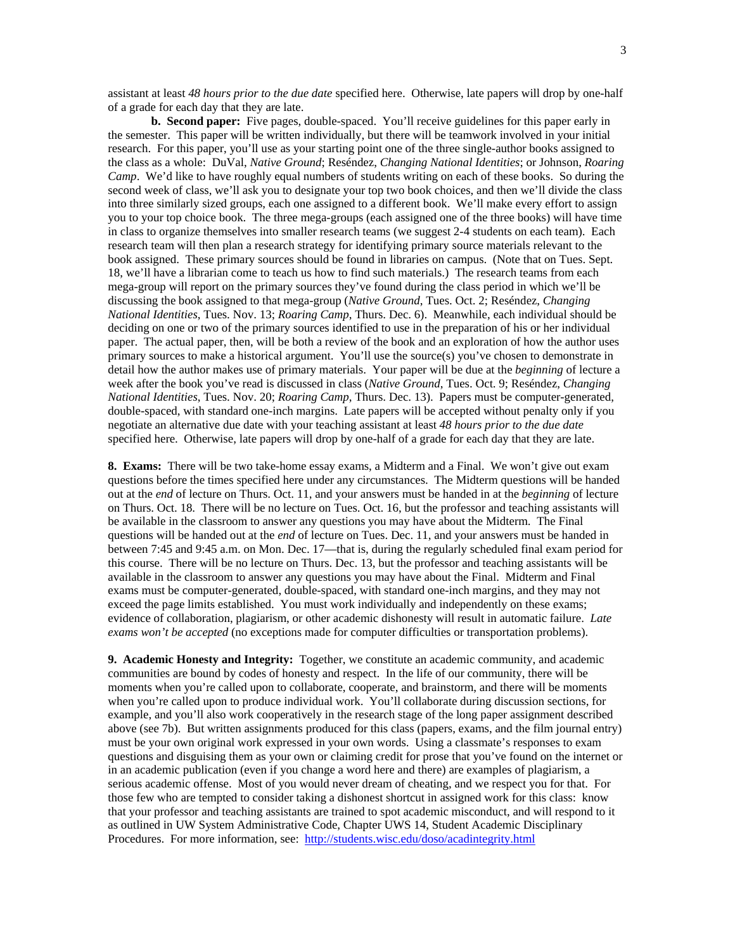assistant at least *48 hours prior to the due date* specified here. Otherwise, late papers will drop by one-half of a grade for each day that they are late.

**b. Second paper:** Five pages, double-spaced. You'll receive guidelines for this paper early in the semester. This paper will be written individually, but there will be teamwork involved in your initial research. For this paper, you'll use as your starting point one of the three single-author books assigned to the class as a whole: DuVal, *Native Ground*; Reséndez, *Changing National Identities*; or Johnson, *Roaring Camp*. We'd like to have roughly equal numbers of students writing on each of these books. So during the second week of class, we'll ask you to designate your top two book choices, and then we'll divide the class into three similarly sized groups, each one assigned to a different book. We'll make every effort to assign you to your top choice book. The three mega-groups (each assigned one of the three books) will have time in class to organize themselves into smaller research teams (we suggest 2-4 students on each team). Each research team will then plan a research strategy for identifying primary source materials relevant to the book assigned. These primary sources should be found in libraries on campus. (Note that on Tues. Sept. 18, we'll have a librarian come to teach us how to find such materials.) The research teams from each mega-group will report on the primary sources they've found during the class period in which we'll be discussing the book assigned to that mega-group (*Native Ground*, Tues. Oct. 2; Reséndez, *Changing National Identities*, Tues. Nov. 13; *Roaring Camp*, Thurs. Dec. 6). Meanwhile, each individual should be deciding on one or two of the primary sources identified to use in the preparation of his or her individual paper. The actual paper, then, will be both a review of the book and an exploration of how the author uses primary sources to make a historical argument. You'll use the source(s) you've chosen to demonstrate in detail how the author makes use of primary materials. Your paper will be due at the *beginning* of lecture a week after the book you've read is discussed in class (*Native Ground*, Tues. Oct. 9; Reséndez, *Changing National Identities*, Tues. Nov. 20; *Roaring Camp*, Thurs. Dec. 13). Papers must be computer-generated, double-spaced, with standard one-inch margins. Late papers will be accepted without penalty only if you negotiate an alternative due date with your teaching assistant at least *48 hours prior to the due date* specified here. Otherwise, late papers will drop by one-half of a grade for each day that they are late.

**8. Exams:** There will be two take-home essay exams, a Midterm and a Final. We won't give out exam questions before the times specified here under any circumstances. The Midterm questions will be handed out at the *end* of lecture on Thurs. Oct. 11, and your answers must be handed in at the *beginning* of lecture on Thurs. Oct. 18. There will be no lecture on Tues. Oct. 16, but the professor and teaching assistants will be available in the classroom to answer any questions you may have about the Midterm. The Final questions will be handed out at the *end* of lecture on Tues. Dec. 11, and your answers must be handed in between 7:45 and 9:45 a.m. on Mon. Dec. 17—that is, during the regularly scheduled final exam period for this course. There will be no lecture on Thurs. Dec. 13, but the professor and teaching assistants will be available in the classroom to answer any questions you may have about the Final. Midterm and Final exams must be computer-generated, double-spaced, with standard one-inch margins, and they may not exceed the page limits established. You must work individually and independently on these exams; evidence of collaboration, plagiarism, or other academic dishonesty will result in automatic failure. *Late exams won't be accepted* (no exceptions made for computer difficulties or transportation problems).

**9. Academic Honesty and Integrity:** Together, we constitute an academic community, and academic communities are bound by codes of honesty and respect. In the life of our community, there will be moments when you're called upon to collaborate, cooperate, and brainstorm, and there will be moments when you're called upon to produce individual work. You'll collaborate during discussion sections, for example, and you'll also work cooperatively in the research stage of the long paper assignment described above (see 7b). But written assignments produced for this class (papers, exams, and the film journal entry) must be your own original work expressed in your own words. Using a classmate's responses to exam questions and disguising them as your own or claiming credit for prose that you've found on the internet or in an academic publication (even if you change a word here and there) are examples of plagiarism, a serious academic offense. Most of you would never dream of cheating, and we respect you for that. For those few who are tempted to consider taking a dishonest shortcut in assigned work for this class: know that your professor and teaching assistants are trained to spot academic misconduct, and will respond to it as outlined in UW System Administrative Code, Chapter UWS 14, Student Academic Disciplinary Procedures. For more information, see: http://students.wisc.edu/doso/acadintegrity.html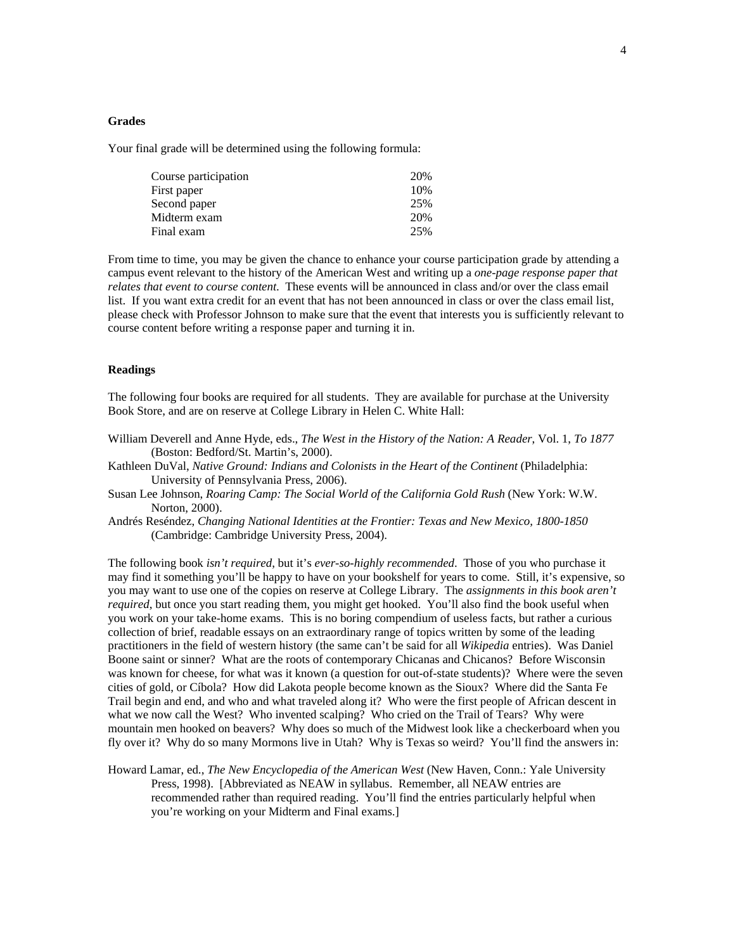## **Grades**

Your final grade will be determined using the following formula:

| Course participation | 20% |
|----------------------|-----|
| First paper          | 10% |
| Second paper         | 25% |
| Midterm exam         | 20% |
| Final exam           | 25% |

From time to time, you may be given the chance to enhance your course participation grade by attending a campus event relevant to the history of the American West and writing up a *one-page response paper that relates that event to course content*. These events will be announced in class and/or over the class email list. If you want extra credit for an event that has not been announced in class or over the class email list, please check with Professor Johnson to make sure that the event that interests you is sufficiently relevant to course content before writing a response paper and turning it in.

#### **Readings**

The following four books are required for all students. They are available for purchase at the University Book Store, and are on reserve at College Library in Helen C. White Hall:

- William Deverell and Anne Hyde, eds., *The West in the History of the Nation: A Reader*, Vol. 1, *To 1877* (Boston: Bedford/St. Martin's, 2000).
- Kathleen DuVal, *Native Ground: Indians and Colonists in the Heart of the Continent* (Philadelphia: University of Pennsylvania Press, 2006).
- Susan Lee Johnson, *Roaring Camp: The Social World of the California Gold Rush* (New York: W.W. Norton, 2000).
- Andrés Reséndez, *Changing National Identities at the Frontier: Texas and New Mexico, 1800-1850* (Cambridge: Cambridge University Press, 2004).

The following book *isn't required*, but it's *ever-so-highly recommended*. Those of you who purchase it may find it something you'll be happy to have on your bookshelf for years to come. Still, it's expensive, so you may want to use one of the copies on reserve at College Library. The *assignments in this book aren't required*, but once you start reading them, you might get hooked. You'll also find the book useful when you work on your take-home exams. This is no boring compendium of useless facts, but rather a curious collection of brief, readable essays on an extraordinary range of topics written by some of the leading practitioners in the field of western history (the same can't be said for all *Wikipedia* entries). Was Daniel Boone saint or sinner? What are the roots of contemporary Chicanas and Chicanos? Before Wisconsin was known for cheese, for what was it known (a question for out-of-state students)? Where were the seven cities of gold, or Cíbola? How did Lakota people become known as the Sioux? Where did the Santa Fe Trail begin and end, and who and what traveled along it? Who were the first people of African descent in what we now call the West? Who invented scalping? Who cried on the Trail of Tears? Why were mountain men hooked on beavers? Why does so much of the Midwest look like a checkerboard when you fly over it? Why do so many Mormons live in Utah? Why is Texas so weird? You'll find the answers in:

Howard Lamar, ed., *The New Encyclopedia of the American West* (New Haven, Conn.: Yale University Press, 1998). [Abbreviated as NEAW in syllabus. Remember, all NEAW entries are recommended rather than required reading. You'll find the entries particularly helpful when you're working on your Midterm and Final exams.]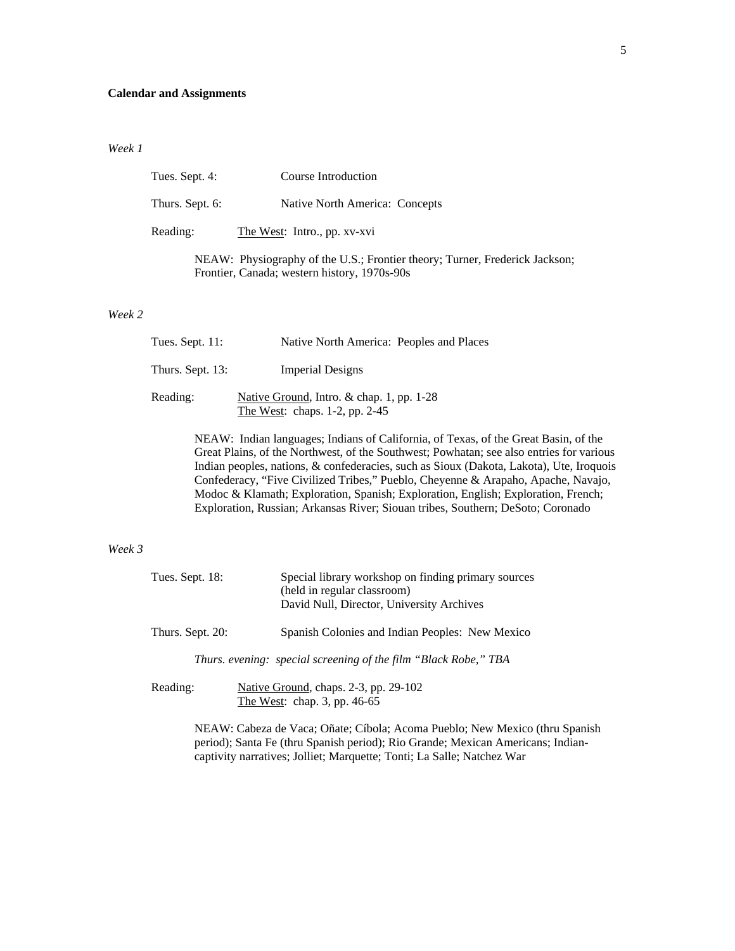## **Calendar and Assignments**

#### *Week 1*

| Tues. Sept. 4:  | Course Introduction                                                                         |
|-----------------|---------------------------------------------------------------------------------------------|
| Thurs. Sept. 6: | Native North America: Concepts                                                              |
| Reading:        | The West: Intro., pp. xv-xvi                                                                |
|                 | $\overline{\text{ME A W}}$ . Dhysiography of the LLS · Frontier theory: Turner, Frederick L |

NEAW: Physiography of the U.S.; Frontier theory; Turner, Frederick Jackson; Frontier, Canada; western history, 1970s-90s

### *Week 2*

| Tues. Sept. 11:  | Native North America: Peoples and Places                                            |  |
|------------------|-------------------------------------------------------------------------------------|--|
| Thurs. Sept. 13: | <b>Imperial Designs</b>                                                             |  |
| Reading:         | Native Ground, Intro. $\&$ chap. 1, pp. 1-28<br>The West: chaps. $1-2$ , pp. $2-45$ |  |

NEAW: Indian languages; Indians of California, of Texas, of the Great Basin, of the Great Plains, of the Northwest, of the Southwest; Powhatan; see also entries for various Indian peoples, nations, & confederacies, such as Sioux (Dakota, Lakota), Ute, Iroquois Confederacy, "Five Civilized Tribes," Pueblo, Cheyenne & Arapaho, Apache, Navajo, Modoc & Klamath; Exploration, Spanish; Exploration, English; Exploration, French; Exploration, Russian; Arkansas River; Siouan tribes, Southern; DeSoto; Coronado

#### *Week 3*

| Tues. Sept. 18:  | Special library workshop on finding primary sources<br>(held in regular classroom)<br>David Null, Director, University Archives |
|------------------|---------------------------------------------------------------------------------------------------------------------------------|
| Thurs. Sept. 20: | Spanish Colonies and Indian Peoples: New Mexico                                                                                 |
|                  | Thurs. evening: special screening of the film "Black Robe," TBA                                                                 |
|                  |                                                                                                                                 |

Reading: Native Ground, chaps. 2-3, pp. 29-102 The West: chap. 3, pp. 46-65

> NEAW: Cabeza de Vaca; Oñate; Cíbola; Acoma Pueblo; New Mexico (thru Spanish period); Santa Fe (thru Spanish period); Rio Grande; Mexican Americans; Indiancaptivity narratives; Jolliet; Marquette; Tonti; La Salle; Natchez War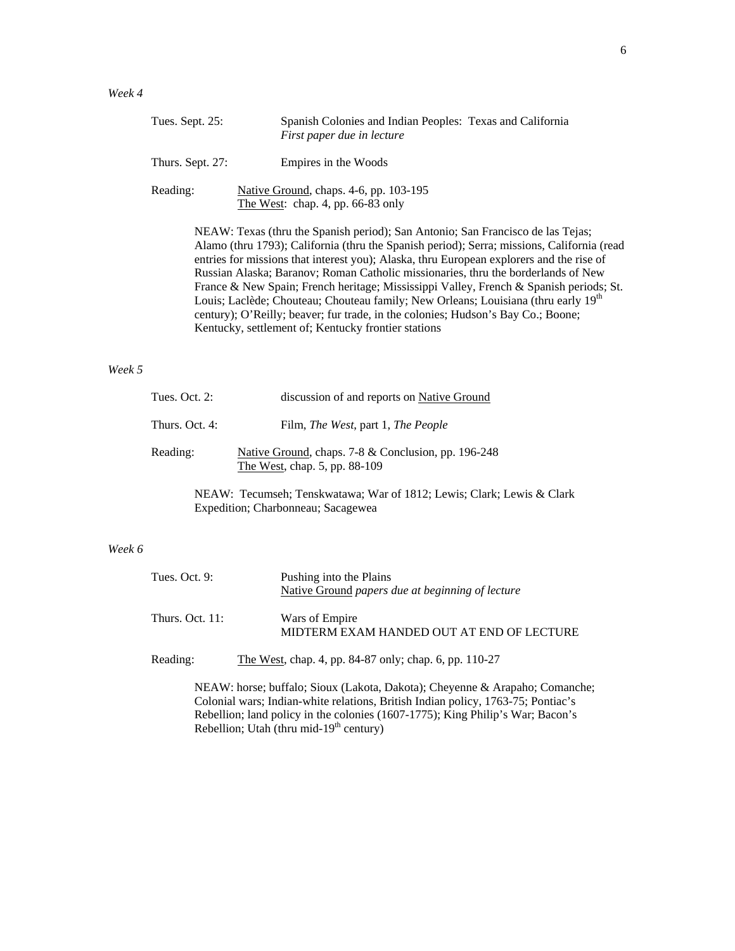| Tues. Sept. 25:  | Spanish Colonies and Indian Peoples: Texas and California<br>First paper due in lecture                                                                                                                                                                                                                                                                                                                                                                                              |
|------------------|--------------------------------------------------------------------------------------------------------------------------------------------------------------------------------------------------------------------------------------------------------------------------------------------------------------------------------------------------------------------------------------------------------------------------------------------------------------------------------------|
| Thurs. Sept. 27: | Empires in the Woods                                                                                                                                                                                                                                                                                                                                                                                                                                                                 |
| Reading:         | Native Ground, chaps. 4-6, pp. 103-195<br>The West: chap. 4, pp. 66-83 only                                                                                                                                                                                                                                                                                                                                                                                                          |
|                  | NEAW: Texas (thru the Spanish period); San Antonio; San Francisco de las Tejas;<br>Alamo (thru 1793); California (thru the Spanish period); Serra; missions, California (read<br>entries for missions that interest you); Alaska, thru European explorers and the rise of<br>Russian Alaska; Baranov; Roman Catholic missionaries, thru the borderlands of New<br>$\Gamma_{\text{meas}}$ (0. Mem Castar Eagle) bouttoms, Mississims, Vieller, Eagle 4, 0. Casatak assissing $\alpha$ |

France & New Spain; French heritage; Mississippi Valley, French & Spanish periods; St. Louis; Laclède; Chouteau; Chouteau family; New Orleans; Louisiana (thru early 19<sup>th</sup> century); O'Reilly; beaver; fur trade, in the colonies; Hudson's Bay Co.; Boone; Kentucky, settlement of; Kentucky frontier stations

# *Week 5*

| Tues. Oct. 2:  | discussion of and reports on Native Ground                                           |
|----------------|--------------------------------------------------------------------------------------|
| Thurs. Oct. 4: | Film, <i>The West</i> , part 1, <i>The People</i>                                    |
| Reading:       | Native Ground, chaps. 7-8 & Conclusion, pp. 196-248<br>The West, chap. 5, pp. 88-109 |

NEAW: Tecumseh; Tenskwatawa; War of 1812; Lewis; Clark; Lewis & Clark Expedition; Charbonneau; Sacagewea

#### *Week 6*

| Tues. Oct. $9:$    | Pushing into the Plains<br>Native Ground papers due at beginning of lecture |
|--------------------|-----------------------------------------------------------------------------|
| Thurs. Oct. $11$ : | Wars of Empire<br>MIDTERM EXAM HANDED OUT AT END OF LECTURE                 |

Reading: The West, chap. 4, pp. 84-87 only; chap. 6, pp. 110-27

NEAW: horse; buffalo; Sioux (Lakota, Dakota); Cheyenne & Arapaho; Comanche; Colonial wars; Indian-white relations, British Indian policy, 1763-75; Pontiac's Rebellion; land policy in the colonies (1607-1775); King Philip's War; Bacon's  $Rebellion$ ; Utah (thru mid-19<sup>th</sup> century)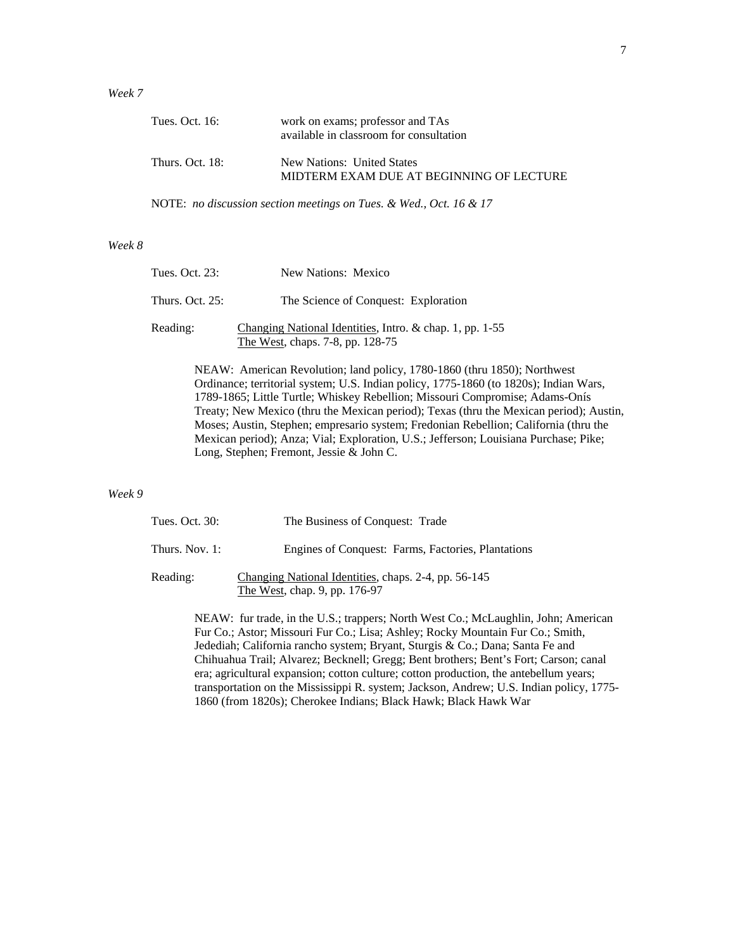# *Week 7*

| Tues. Oct. 16:  | work on exams; professor and TAs<br>available in classroom for consultation |
|-----------------|-----------------------------------------------------------------------------|
| Thurs. Oct. 18: | New Nations: United States<br>MIDTERM EXAM DUE AT BEGINNING OF LECTURE      |

NOTE: *no discussion section meetings on Tues. & Wed., Oct. 16 & 17*

# *Week 8*

| Tues. Oct. 23:     | New Nations: Mexico                                                                          |
|--------------------|----------------------------------------------------------------------------------------------|
| Thurs. Oct. $25$ : | The Science of Conquest: Exploration                                                         |
| Reading:           | Changing National Identities, Intro. & chap. 1, pp. 1-55<br>The West, chaps. 7-8, pp. 128-75 |
|                    | $NFAW_1$ , American Dovolution: land policy 1780-1860 (thru 1850).                           |

NEAW: American Revolution; land policy, 1780-1860 (thru 1850); Northwest Ordinance; territorial system; U.S. Indian policy, 1775-1860 (to 1820s); Indian Wars, 1789-1865; Little Turtle; Whiskey Rebellion; Missouri Compromise; Adams-Onís Treaty; New Mexico (thru the Mexican period); Texas (thru the Mexican period); Austin, Moses; Austin, Stephen; empresario system; Fredonian Rebellion; California (thru the Mexican period); Anza; Vial; Exploration, U.S.; Jefferson; Louisiana Purchase; Pike; Long, Stephen; Fremont, Jessie & John C.

### *Week 9*

| Tues. Oct. 30: | The Business of Conquest: Trade                                                       |
|----------------|---------------------------------------------------------------------------------------|
| Thurs. Nov. 1: | Engines of Conquest: Farms, Factories, Plantations                                    |
| Reading:       | Changing National Identities, chaps. 2-4, pp. 56-145<br>The West, chap. 9, pp. 176-97 |

NEAW: fur trade, in the U.S.; trappers; North West Co.; McLaughlin, John; American Fur Co.; Astor; Missouri Fur Co.; Lisa; Ashley; Rocky Mountain Fur Co.; Smith, Jedediah; California rancho system; Bryant, Sturgis & Co.; Dana; Santa Fe and Chihuahua Trail; Alvarez; Becknell; Gregg; Bent brothers; Bent's Fort; Carson; canal era; agricultural expansion; cotton culture; cotton production, the antebellum years; transportation on the Mississippi R. system; Jackson, Andrew; U.S. Indian policy, 1775- 1860 (from 1820s); Cherokee Indians; Black Hawk; Black Hawk War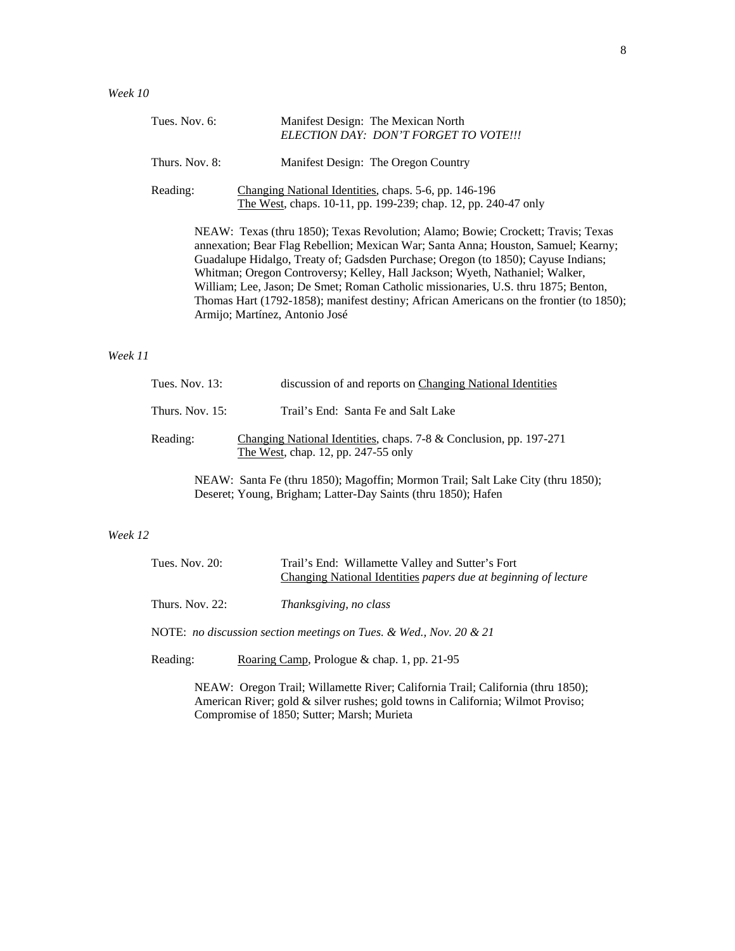| Tues. Nov. 6:  | Manifest Design: The Mexican North<br>ELECTION DAY: DON'T FORGET TO VOTE!!!                                                                                                                                                                                                                                                                                                                                                                                                                                                                                    |
|----------------|----------------------------------------------------------------------------------------------------------------------------------------------------------------------------------------------------------------------------------------------------------------------------------------------------------------------------------------------------------------------------------------------------------------------------------------------------------------------------------------------------------------------------------------------------------------|
| Thurs. Nov. 8: | Manifest Design: The Oregon Country                                                                                                                                                                                                                                                                                                                                                                                                                                                                                                                            |
| Reading:       | Changing National Identities, chaps. 5-6, pp. 146-196<br>The West, chaps. 10-11, pp. 199-239; chap. 12, pp. 240-47 only                                                                                                                                                                                                                                                                                                                                                                                                                                        |
|                | NEAW: Texas (thru 1850); Texas Revolution; Alamo; Bowie; Crockett; Travis; Texas<br>annexation; Bear Flag Rebellion; Mexican War; Santa Anna; Houston, Samuel; Kearny;<br>Guadalupe Hidalgo, Treaty of; Gadsden Purchase; Oregon (to 1850); Cayuse Indians;<br>Whitman; Oregon Controversy; Kelley, Hall Jackson; Wyeth, Nathaniel; Walker,<br>William; Lee, Jason; De Smet; Roman Catholic missionaries, U.S. thru 1875; Benton,<br>Thomas Hart (1792-1858); manifest destiny; African Americans on the frontier (to 1850);<br>Armijo; Martínez, Antonio José |

# *Week 11*

| Tues. Nov. $13$ :  | discussion of and reports on Changing National Identities                                                 |
|--------------------|-----------------------------------------------------------------------------------------------------------|
| Thurs, Nov. $15$ : | Trail's End: Santa Fe and Salt Lake                                                                       |
| Reading:           | Changing National Identities, chaps. 7-8 & Conclusion, pp. 197-271<br>The West, chap. 12, pp. 247-55 only |
|                    | NEAW: Santa Fe (thru 1850); Magoffin; Mormon Trail; Salt Lake City (thru 1850);                           |

Deseret; Young, Brigham; Latter-Day Saints (thru 1850); Hafen

# *Week 12*

| Tues. Nov. 20:     | Trail's End: Willamette Valley and Sutter's Fort<br>Changing National Identities papers due at beginning of lecture |
|--------------------|---------------------------------------------------------------------------------------------------------------------|
| Thurs. Nov. $22$ : | Thanksgiving, no class                                                                                              |
|                    | NOTE: no discussion section meetings on Tues. & Wed., Nov. 20 & 21                                                  |
| Reading:           | Roaring Camp, Prologue & chap. 1, pp. 21-95                                                                         |

NEAW: Oregon Trail; Willamette River; California Trail; California (thru 1850); American River; gold & silver rushes; gold towns in California; Wilmot Proviso; Compromise of 1850; Sutter; Marsh; Murieta